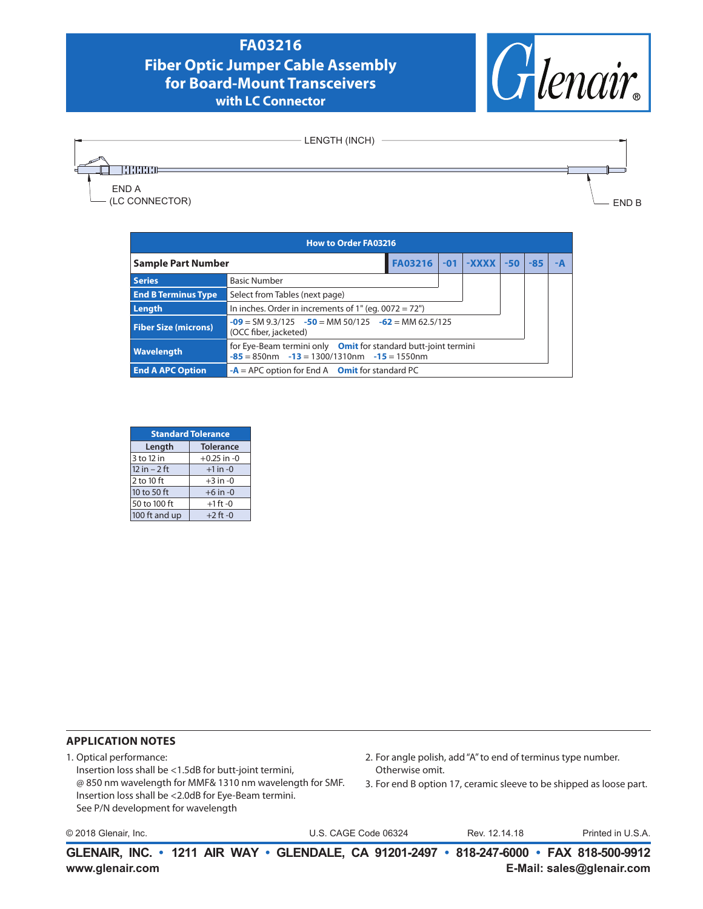## **FA03216 Fiber Optic Jumper Cable Assembly for Board-Mount Transceivers with LC Connector**





- LENGTH (INCH)

END B

| <b>How to Order FA03216</b>                                                                                                                |                                                         |  |  |                         |       |  |
|--------------------------------------------------------------------------------------------------------------------------------------------|---------------------------------------------------------|--|--|-------------------------|-------|--|
|                                                                                                                                            | Sample Part Number                                      |  |  | $FA03216$ -01 -XXXX -50 | $-85$ |  |
| <b>Series</b><br><b>Basic Number</b>                                                                                                       |                                                         |  |  |                         |       |  |
| <b>End B Terminus Type</b>                                                                                                                 | Select from Tables (next page)                          |  |  |                         |       |  |
| Length                                                                                                                                     | In inches. Order in increments of $1"$ (eq. 0072 = 72") |  |  |                         |       |  |
| $-09 = SM$ 9.3/125 $-50 = MM$ 50/125 $-62 = MM$ 62.5/125<br><b>Fiber Size (microns)</b><br>(OCC fiber, jacketed)                           |                                                         |  |  |                         |       |  |
| for Eye-Beam termini only Omit for standard butt-joint termini<br><b>Wavelength</b><br>$-85 = 850$ nm $-13 = 1300/1310$ nm $-15 = 1550$ nm |                                                         |  |  |                         |       |  |
| <b>End A APC Option</b>                                                                                                                    | $-A = APC$ option for End A Omit for standard PC        |  |  |                         |       |  |

| <b>Standard Tolerance</b> |                  |  |  |
|---------------------------|------------------|--|--|
| Length                    | <b>Tolerance</b> |  |  |
| 3 to 12 in                | $+0.25$ in $-0$  |  |  |
| $12$ in $-2$ ft           | $+1$ in $-0$     |  |  |
| 2 to 10 ft                | $+3$ in $-0$     |  |  |
| 10 to 50 ft               | $+6$ in $-0$     |  |  |
| 50 to 100 ft              | $+1$ ft -0       |  |  |
| 100 ft and up             | $+2$ ft -0       |  |  |

## **APPLICATION NOTES**

- 1. Optical performance: Insertion loss shall be <1.5dB for butt-joint termini, @ 850 nm wavelength for MMF& 1310 nm wavelength for SMF. Insertion loss shall be <2.0dB for Eye-Beam termini. See P/N development for wavelength
- 2. For angle polish, add "A" to end of terminus type number. Otherwise omit.
- 3. For end B option 17, ceramic sleeve to be shipped as loose part.

© 2018 Glenair, Inc. U.S. CAGE Code 06324 Printed in U.S.A.

Rev. 12.14.18

**www.glenair.com E-Mail: sales@glenair.com GLENAIR, INC. • 1211 AIR WAY • GLENDALE, CA 91201-2497 • 818-247-6000 • FAX 818-500-9912**